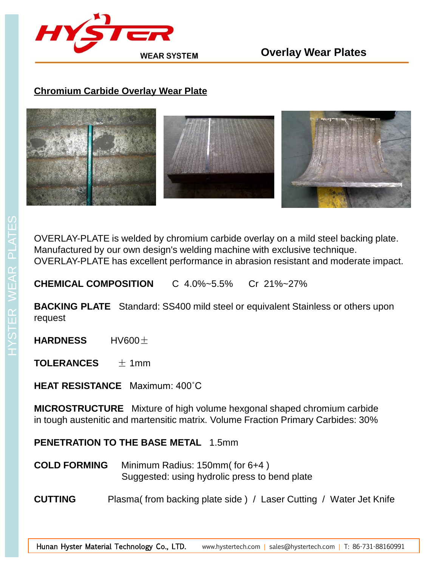

## **Chromium Carbide Overlay Wear Plate**



OVERLAY-PLATE is welded by chromium carbide overlay on a mild steel backing plate. Manufactured by our own design's welding machine with exclusive technique. OVERLAY-PLATE has excellent performance in abrasion resistant and moderate impact.

**CHEMICAL COMPOSITION** C 4.0%~5.5% Cr 21%~27%

**BACKING PLATE** Standard: SS400 mild steel or equivalent Stainless or others upon request

**HARDNESS** HV600±

**TOLERANCES** ± 1mm

**HEAT RESISTANCE** Maximum: 400˚C

**MICROSTRUCTURE** Mixture of high volume hexgonal shaped chromium carbide in tough austenitic and martensitic matrix. Volume Fraction Primary Carbides: 30%

**PENETRATION TO THE BASE METAL** 1.5mm

- **COLD FORMING** Minimum Radius: 150mm( for 6+4 ) Suggested: using hydrolic press to bend plate
- **CUTTING** Plasma( from backing plate side ) / Laser Cutting / Water Jet Knife